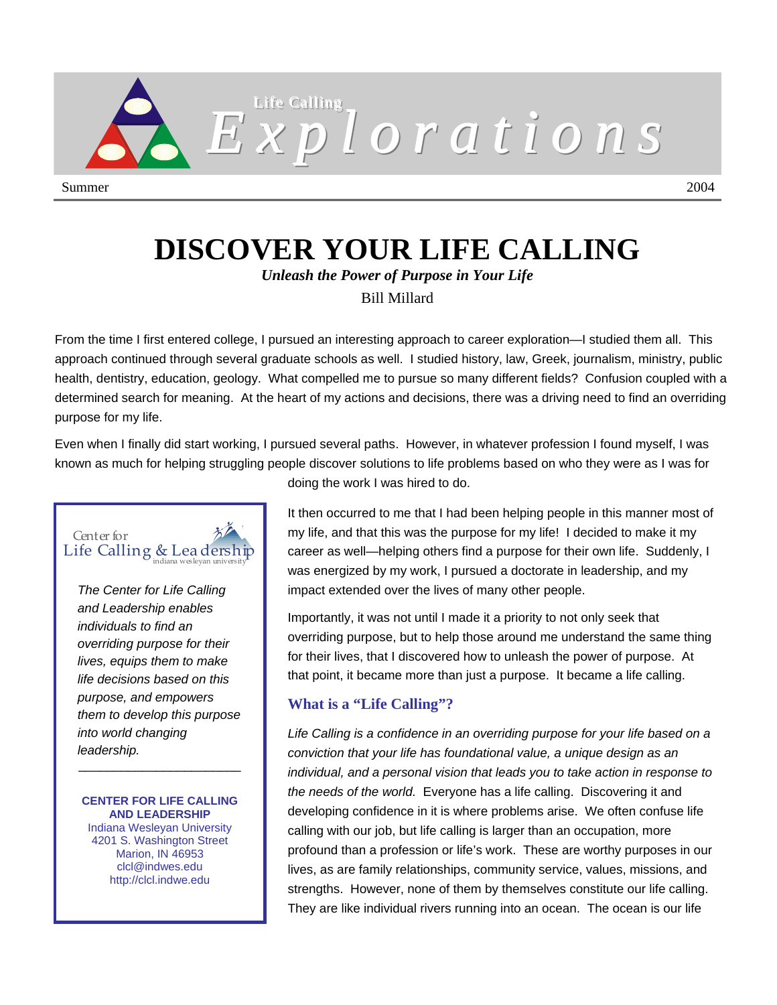

# **DISCOVER YOUR LIFE CALLING**

## *Unleash the Power of Purpose in Your Life*

Bill Millard

From the time I first entered college, I pursued an interesting approach to career exploration—I studied them all. This approach continued through several graduate schools as well. I studied history, law, Greek, journalism, ministry, public health, dentistry, education, geology. What compelled me to pursue so many different fields? Confusion coupled with a determined search for meaning. At the heart of my actions and decisions, there was a driving need to find an overriding purpose for my life.

Even when I finally did start working, I pursued several paths. However, in whatever profession I found myself, I was known as much for helping struggling people discover solutions to life problems based on who they were as I was for



*The Center for Life Calling and Leadership enables individuals to find an overriding purpose for their lives, equips them to make life decisions based on this purpose, and empowers them to develop this purpose into world changing leadership.* 

#### **CENTER FOR LIFE CALLING AND LEADERSHIP**

\_\_\_\_\_\_\_\_\_\_\_\_\_\_\_\_\_\_\_\_\_\_\_

Indiana Wesleyan University 4201 S. Washington Street Marion, IN 46953 clcl@indwes.edu http://clcl.indwe.edu

doing the work I was hired to do.

It then occurred to me that I had been helping people in this manner most of my life, and that this was the purpose for my life! I decided to make it my career as well—helping others find a purpose for their own life. Suddenly, I was energized by my work, I pursued a doctorate in leadership, and my impact extended over the lives of many other people.

Importantly, it was not until I made it a priority to not only seek that overriding purpose, but to help those around me understand the same thing for their lives, that I discovered how to unleash the power of purpose. At that point, it became more than just a purpose. It became a life calling.

## **What is a "Life Calling"?**

*Life Calling is a confidence in an overriding purpose for your life based on a conviction that your life has foundational value, a unique design as an individual, and a personal vision that leads you to take action in response to the needs of the world.* Everyone has a life calling. Discovering it and developing confidence in it is where problems arise. We often confuse life calling with our job, but life calling is larger than an occupation, more profound than a profession or life's work. These are worthy purposes in our lives, as are family relationships, community service, values, missions, and strengths. However, none of them by themselves constitute our life calling. They are like individual rivers running into an ocean. The ocean is our life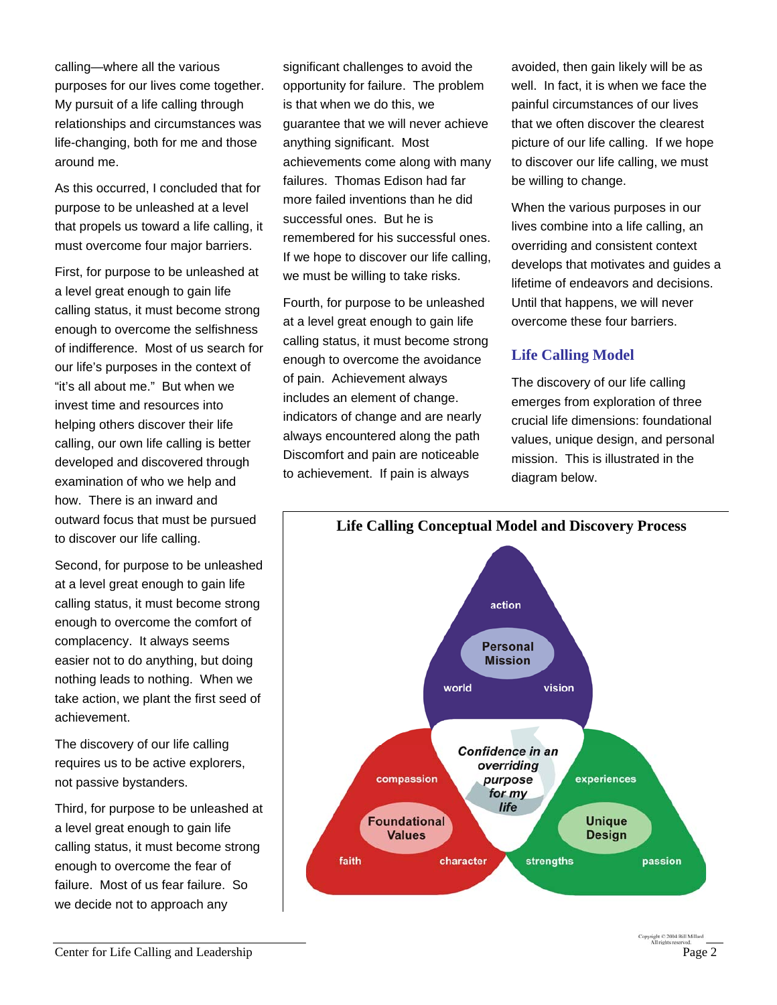calling—where all the various purposes for our lives come together. My pursuit of a life calling through relationships and circumstances was life-changing, both for me and those around me.

As this occurred, I concluded that for purpose to be unleashed at a level that propels us toward a life calling, it must overcome four major barriers.

First, for purpose to be unleashed at a level great enough to gain life calling status, it must become strong enough to overcome the selfishness of indifference. Most of us search for our life's purposes in the context of "it's all about me." But when we invest time and resources into helping others discover their life calling, our own life calling is better developed and discovered through examination of who we help and how. There is an inward and outward focus that must be pursued to discover our life calling.

Second, for purpose to be unleashed at a level great enough to gain life calling status, it must become strong enough to overcome the comfort of complacency. It always seems easier not to do anything, but doing nothing leads to nothing. When we take action, we plant the first seed of achievement.

The discovery of our life calling requires us to be active explorers, not passive bystanders.

Third, for purpose to be unleashed at a level great enough to gain life calling status, it must become strong enough to overcome the fear of failure. Most of us fear failure. So we decide not to approach any

significant challenges to avoid the opportunity for failure. The problem is that when we do this, we guarantee that we will never achieve anything significant. Most achievements come along with many failures. Thomas Edison had far more failed inventions than he did successful ones. But he is remembered for his successful ones. If we hope to discover our life calling, we must be willing to take risks.

Fourth, for purpose to be unleashed at a level great enough to gain life calling status, it must become strong enough to overcome the avoidance of pain. Achievement always includes an element of change. indicators of change and are nearly always encountered along the path Discomfort and pain are noticeable to achievement. If pain is always

avoided, then gain likely will be as well. In fact, it is when we face the painful circumstances of our lives that we often discover the clearest picture of our life calling. If we hope to discover our life calling, we must be willing to change.

When the various purposes in our lives combine into a life calling, an overriding and consistent context develops that motivates and guides a lifetime of endeavors and decisions. Until that happens, we will never overcome these four barriers.

## **Life Calling Model**

The discovery of our life calling emerges from exploration of three crucial life dimensions: foundational values, unique design, and personal mission. This is illustrated in the diagram below.



Copyright C 2004 Bill Millard<br>All rights reserved.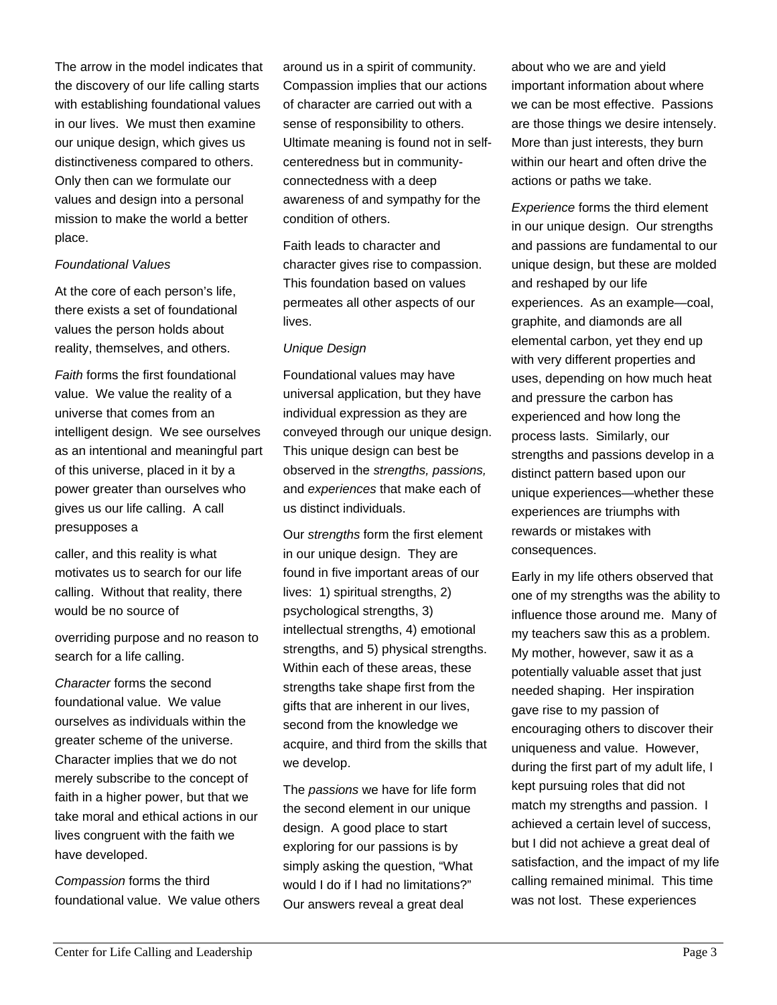The arrow in the model indicates that the discovery of our life calling starts with establishing foundational values in our lives. We must then examine our unique design, which gives us distinctiveness compared to others. Only then can we formulate our values and design into a personal mission to make the world a better place.

#### *Foundational Values*

At the core of each person's life, there exists a set of foundational values the person holds about reality, themselves, and others.

*Faith* forms the first foundational value. We value the reality of a universe that comes from an intelligent design. We see ourselves as an intentional and meaningful part of this universe, placed in it by a power greater than ourselves who gives us our life calling. A call presupposes a

caller, and this reality is what motivates us to search for our life calling. Without that reality, there would be no source of

overriding purpose and no reason to search for a life calling.

*Character* forms the second foundational value. We value ourselves as individuals within the greater scheme of the universe. Character implies that we do not merely subscribe to the concept of faith in a higher power, but that we take moral and ethical actions in our lives congruent with the faith we have developed.

*Compassion* forms the third foundational value. We value others around us in a spirit of community. Compassion implies that our actions of character are carried out with a sense of responsibility to others. Ultimate meaning is found not in selfcenteredness but in communityconnectedness with a deep awareness of and sympathy for the condition of others.

Faith leads to character and character gives rise to compassion. This foundation based on values permeates all other aspects of our lives.

#### *Unique Design*

Foundational values may have universal application, but they have individual expression as they are conveyed through our unique design. This unique design can best be observed in the *strengths, passions,* and *experiences* that make each of us distinct individuals.

Our *strengths* form the first element in our unique design. They are found in five important areas of our lives: 1) spiritual strengths, 2) psychological strengths, 3) intellectual strengths, 4) emotional strengths, and 5) physical strengths. Within each of these areas, these strengths take shape first from the gifts that are inherent in our lives, second from the knowledge we acquire, and third from the skills that we develop.

The *passions* we have for life form the second element in our unique design. A good place to start exploring for our passions is by simply asking the question, "What would I do if I had no limitations?" Our answers reveal a great deal

about who we are and yield important information about where we can be most effective. Passions are those things we desire intensely. More than just interests, they burn within our heart and often drive the actions or paths we take.

*Experience* forms the third element in our unique design. Our strengths and passions are fundamental to our unique design, but these are molded and reshaped by our life experiences. As an example—coal, graphite, and diamonds are all elemental carbon, yet they end up with very different properties and uses, depending on how much heat and pressure the carbon has experienced and how long the process lasts. Similarly, our strengths and passions develop in a distinct pattern based upon our unique experiences—whether these experiences are triumphs with rewards or mistakes with consequences.

Early in my life others observed that one of my strengths was the ability to influence those around me. Many of my teachers saw this as a problem. My mother, however, saw it as a potentially valuable asset that just needed shaping. Her inspiration gave rise to my passion of encouraging others to discover their uniqueness and value. However, during the first part of my adult life, I kept pursuing roles that did not match my strengths and passion. I achieved a certain level of success, but I did not achieve a great deal of satisfaction, and the impact of my life calling remained minimal. This time was not lost. These experiences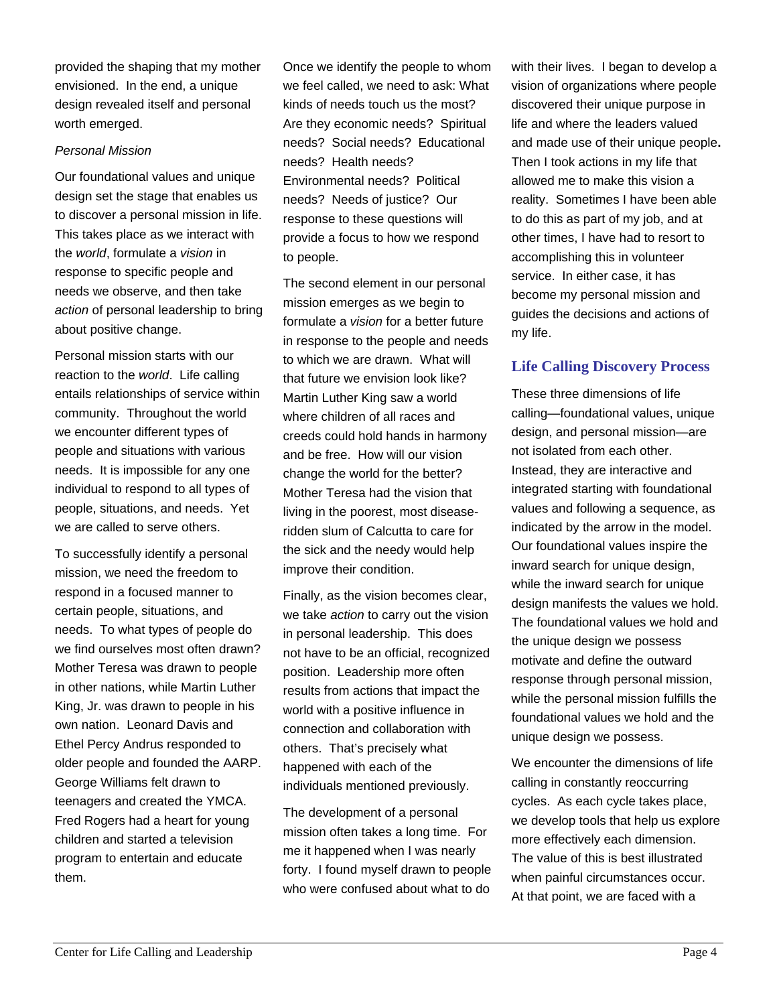provided the shaping that my mother envisioned. In the end, a unique design revealed itself and personal worth emerged.

## *Personal Mission*

Our foundational values and unique design set the stage that enables us to discover a personal mission in life. This takes place as we interact with the *world*, formulate a *vision* in response to specific people and needs we observe, and then take *action* of personal leadership to bring about positive change.

Personal mission starts with our reaction to the *world*. Life calling entails relationships of service within community. Throughout the world we encounter different types of people and situations with various needs. It is impossible for any one individual to respond to all types of people, situations, and needs. Yet we are called to serve others.

To successfully identify a personal mission, we need the freedom to respond in a focused manner to certain people, situations, and needs. To what types of people do we find ourselves most often drawn? Mother Teresa was drawn to people in other nations, while Martin Luther King, Jr. was drawn to people in his own nation. Leonard Davis and Ethel Percy Andrus responded to older people and founded the AARP. George Williams felt drawn to teenagers and created the YMCA. Fred Rogers had a heart for young children and started a television program to entertain and educate them.

Once we identify the people to whom we feel called, we need to ask: What kinds of needs touch us the most? Are they economic needs? Spiritual needs? Social needs? Educational needs? Health needs? Environmental needs? Political needs? Needs of justice? Our response to these questions will provide a focus to how we respond to people.

The second element in our personal mission emerges as we begin to formulate a *vision* for a better future in response to the people and needs to which we are drawn. What will that future we envision look like? Martin Luther King saw a world where children of all races and creeds could hold hands in harmony and be free. How will our vision change the world for the better? Mother Teresa had the vision that living in the poorest, most diseaseridden slum of Calcutta to care for the sick and the needy would help improve their condition.

Finally, as the vision becomes clear, we take *action* to carry out the vision in personal leadership. This does not have to be an official, recognized position. Leadership more often results from actions that impact the world with a positive influence in connection and collaboration with others. That's precisely what happened with each of the individuals mentioned previously.

The development of a personal mission often takes a long time. For me it happened when I was nearly forty. I found myself drawn to people who were confused about what to do

with their lives. I began to develop a vision of organizations where people discovered their unique purpose in life and where the leaders valued and made use of their unique people**.**  Then I took actions in my life that allowed me to make this vision a reality. Sometimes I have been able to do this as part of my job, and at other times, I have had to resort to accomplishing this in volunteer service. In either case, it has become my personal mission and guides the decisions and actions of my life.

## **Life Calling Discovery Process**

These three dimensions of life calling—foundational values, unique design, and personal mission—are not isolated from each other. Instead, they are interactive and integrated starting with foundational values and following a sequence, as indicated by the arrow in the model. Our foundational values inspire the inward search for unique design, while the inward search for unique design manifests the values we hold. The foundational values we hold and the unique design we possess motivate and define the outward response through personal mission, while the personal mission fulfills the foundational values we hold and the unique design we possess.

We encounter the dimensions of life calling in constantly reoccurring cycles. As each cycle takes place, we develop tools that help us explore more effectively each dimension. The value of this is best illustrated when painful circumstances occur. At that point, we are faced with a